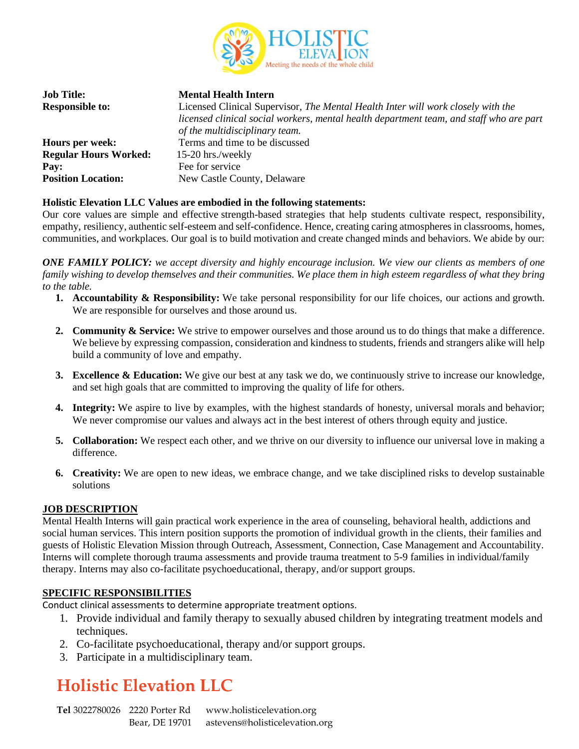

| <b>Job Title:</b><br><b>Responsible to:</b> | <b>Mental Health Intern</b><br>Licensed Clinical Supervisor, The Mental Health Inter will work closely with the<br>licensed clinical social workers, mental health department team, and staff who are part<br>of the multidisciplinary team. |
|---------------------------------------------|----------------------------------------------------------------------------------------------------------------------------------------------------------------------------------------------------------------------------------------------|
| Hours per week:                             | Terms and time to be discussed                                                                                                                                                                                                               |
| <b>Regular Hours Worked:</b>                | 15-20 hrs./weekly                                                                                                                                                                                                                            |
| Pay:                                        | Fee for service                                                                                                                                                                                                                              |
| <b>Position Location:</b>                   | New Castle County, Delaware                                                                                                                                                                                                                  |

### **Holistic Elevation LLC Values are embodied in the following statements:**

Our core values are simple and effective strength-based strategies that help students cultivate respect, responsibility, empathy, resiliency, authentic self-esteem and self-confidence. Hence, creating caring atmospheres in classrooms, homes, communities, and workplaces. Our goal is to build motivation and create changed minds and behaviors. We abide by our:

**ONE FAMILY POLICY:** we accept diversity and highly encourage inclusion. We view our clients as members of one family wishing to develop themselves and their communities. We place them in high esteem regardless of what they bring *to the table.*

- **1. Accountability & Responsibility:** We take personal responsibility for our life choices, our actions and growth. We are responsible for ourselves and those around us.
- **2. Community & Service:** We strive to empower ourselves and those around us to do things that make a difference. We believe by expressing compassion, consideration and kindness to students, friends and strangers alike will help build a community of love and empathy.
- **3. Excellence & Education:** We give our best at any task we do, we continuously strive to increase our knowledge, and set high goals that are committed to improving the quality of life for others.
- **4. Integrity:** We aspire to live by examples, with the highest standards of honesty, universal morals and behavior; We never compromise our values and always act in the best interest of others through equity and justice.
- **5. Collaboration:** We respect each other, and we thrive on our diversity to influence our universal love in making a difference.
- **6. Creativity:** We are open to new ideas, we embrace change, and we take disciplined risks to develop sustainable solutions

#### **JOB DESCRIPTION**

Mental Health Interns will gain practical work experience in the area of counseling, behavioral health, addictions and social human services. This intern position supports the promotion of individual growth in the clients, their families and guests of Holistic Elevation Mission through Outreach, Assessment, Connection, Case Management and Accountability. Interns will complete thorough trauma assessments and provide trauma treatment to 5-9 families in individual/family therapy. Interns may also co-facilitate psychoeducational, therapy, and/or support groups.

#### **SPECIFIC RESPONSIBILITIES**

Conduct clinical assessments to determine appropriate treatment options.

- 1. Provide individual and family therapy to sexually abused children by integrating treatment models and techniques.
- 2. Co-facilitate psychoeducational, therapy and/or support groups.
- 3. Participate in a multidisciplinary team.

## **Holistic Elevation LLC**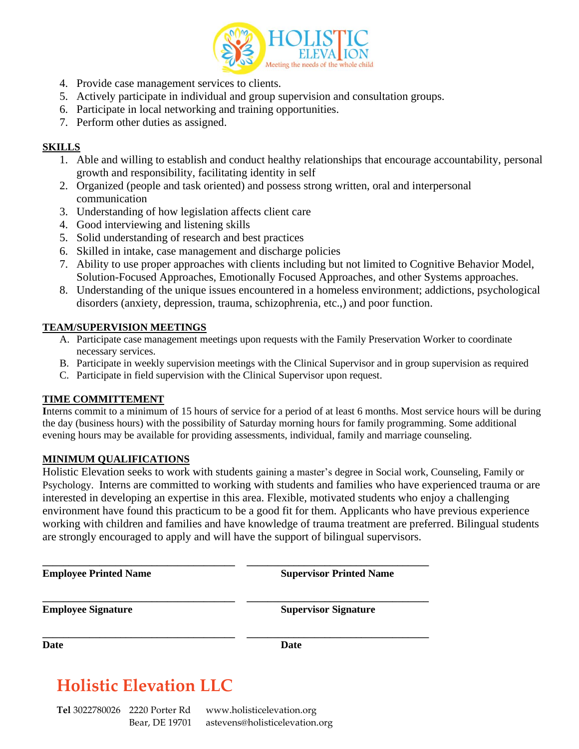

- 4. Provide case management services to clients.
- 5. Actively participate in individual and group supervision and consultation groups.
- 6. Participate in local networking and training opportunities.
- 7. Perform other duties as assigned.

## **SKILLS**

- 1. Able and willing to establish and conduct healthy relationships that encourage accountability, personal growth and responsibility, facilitating identity in self
- 2. Organized (people and task oriented) and possess strong written, oral and interpersonal communication
- 3. Understanding of how legislation affects client care
- 4. Good interviewing and listening skills
- 5. Solid understanding of research and best practices
- 6. Skilled in intake, case management and discharge policies
- 7. Ability to use proper approaches with clients including but not limited to Cognitive Behavior Model, Solution-Focused Approaches, Emotionally Focused Approaches, and other Systems approaches.
- 8. Understanding of the unique issues encountered in a homeless environment; addictions, psychological disorders (anxiety, depression, trauma, schizophrenia, etc.,) and poor function.

## **TEAM/SUPERVISION MEETINGS**

- A. Participate case management meetings upon requests with the Family Preservation Worker to coordinate necessary services.
- B. Participate in weekly supervision meetings with the Clinical Supervisor and in group supervision as required
- C. Participate in field supervision with the Clinical Supervisor upon request.

## **TIME COMMITTEMENT**

**I**nterns commit to a minimum of 15 hours of service for a period of at least 6 months. Most service hours will be during the day (business hours) with the possibility of Saturday morning hours for family programming. Some additional evening hours may be available for providing assessments, individual, family and marriage counseling.

### **MINIMUM QUALIFICATIONS**

Holistic Elevation seeks to work with students gaining a master's degree in Social work, Counseling, Family or Psychology. Interns are committed to working with students and families who have experienced trauma or are interested in developing an expertise in this area. Flexible, motivated students who enjoy a challenging environment have found this practicum to be a good fit for them. Applicants who have previous experience working with children and families and have knowledge of trauma treatment are preferred. Bilingual students are strongly encouraged to apply and will have the support of bilingual supervisors.

**\_\_\_\_\_\_\_\_\_\_\_\_\_\_\_\_\_\_\_\_\_\_\_\_\_\_\_\_\_\_\_\_\_\_\_\_\_ \_\_\_\_\_\_\_\_\_\_\_\_\_\_\_\_\_\_\_\_\_\_\_\_\_\_\_\_\_\_\_\_\_\_\_ Employee Printed Name Supervisor Printed Name \_\_\_\_\_\_\_\_\_\_\_\_\_\_\_\_\_\_\_\_\_\_\_\_\_\_\_\_\_\_\_\_\_\_\_\_\_ \_\_\_\_\_\_\_\_\_\_\_\_\_\_\_\_\_\_\_\_\_\_\_\_\_\_\_\_\_\_\_\_\_\_\_ Employee Signature Supervisor Signature \_\_\_\_\_\_\_\_\_\_\_\_\_\_\_\_\_\_\_\_\_\_\_\_\_\_\_\_\_\_\_\_\_\_\_\_\_ \_\_\_\_\_\_\_\_\_\_\_\_\_\_\_\_\_\_\_\_\_\_\_\_\_\_\_\_\_\_\_\_\_\_\_ Date Date**

## **Holistic Elevation LLC**